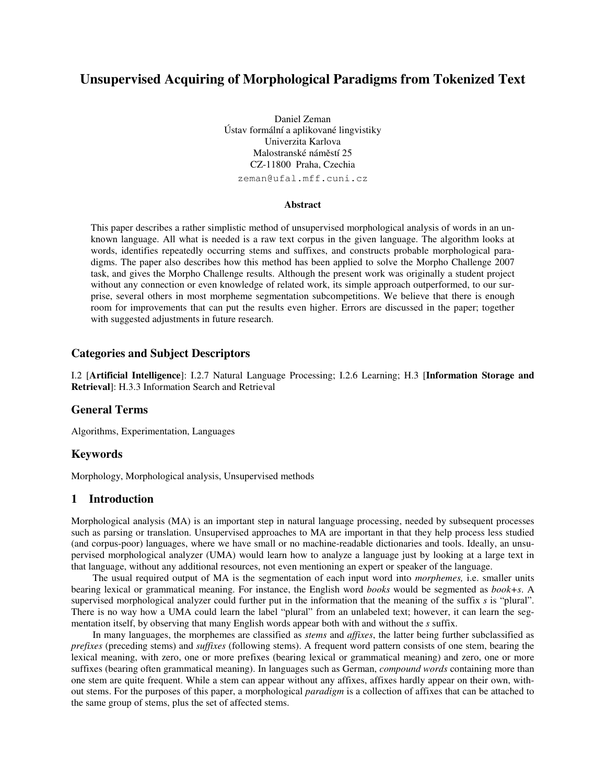# **Unsupervised Acquiring of Morphological Paradigms from Tokenized Text**

Daniel Zeman Ústav formální a aplikované lingvistiky Univerzita Karlova Malostranské náměstí 25 CZ-11800 Praha, Czechia

zeman@ufal.mff.cuni.cz

#### **Abstract**

This paper describes a rather simplistic method of unsupervised morphological analysis of words in an unknown language. All what is needed is a raw text corpus in the given language. The algorithm looks at words, identifies repeatedly occurring stems and suffixes, and constructs probable morphological paradigms. The paper also describes how this method has been applied to solve the Morpho Challenge 2007 task, and gives the Morpho Challenge results. Although the present work was originally a student project without any connection or even knowledge of related work, its simple approach outperformed, to our surprise, several others in most morpheme segmentation subcompetitions. We believe that there is enough room for improvements that can put the results even higher. Errors are discussed in the paper; together with suggested adjustments in future research.

### **Categories and Subject Descriptors**

I.2 [**Artificial Intelligence**]: I.2.7 Natural Language Processing; I.2.6 Learning; H.3 [**Information Storage and Retrieval**]: H.3.3 Information Search and Retrieval

### **General Terms**

Algorithms, Experimentation, Languages

### **Keywords**

Morphology, Morphological analysis, Unsupervised methods

### **1 Introduction**

Morphological analysis (MA) is an important step in natural language processing, needed by subsequent processes such as parsing or translation. Unsupervised approaches to MA are important in that they help process less studied (and corpus-poor) languages, where we have small or no machine-readable dictionaries and tools. Ideally, an unsupervised morphological analyzer (UMA) would learn how to analyze a language just by looking at a large text in that language, without any additional resources, not even mentioning an expert or speaker of the language.

The usual required output of MA is the segmentation of each input word into *morphemes,* i.e. smaller units bearing lexical or grammatical meaning. For instance, the English word *books* would be segmented as *book+s*. A supervised morphological analyzer could further put in the information that the meaning of the suffix *s* is "plural". There is no way how a UMA could learn the label "plural" from an unlabeled text; however, it can learn the segmentation itself, by observing that many English words appear both with and without the *s* suffix.

In many languages, the morphemes are classified as *stems* and *affixes*, the latter being further subclassified as *prefixes* (preceding stems) and *suffixes* (following stems). A frequent word pattern consists of one stem, bearing the lexical meaning, with zero, one or more prefixes (bearing lexical or grammatical meaning) and zero, one or more suffixes (bearing often grammatical meaning). In languages such as German, *compound words* containing more than one stem are quite frequent. While a stem can appear without any affixes, affixes hardly appear on their own, without stems. For the purposes of this paper, a morphological *paradigm* is a collection of affixes that can be attached to the same group of stems, plus the set of affected stems.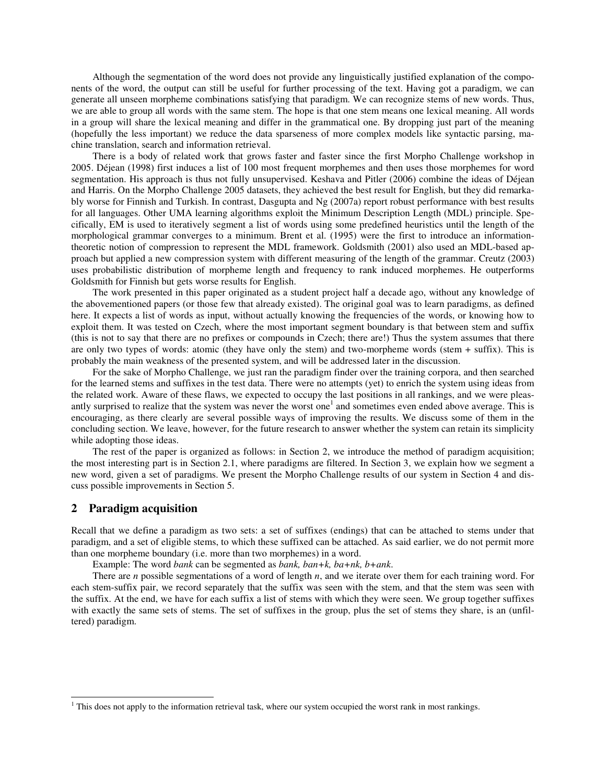Although the segmentation of the word does not provide any linguistically justified explanation of the components of the word, the output can still be useful for further processing of the text. Having got a paradigm, we can generate all unseen morpheme combinations satisfying that paradigm. We can recognize stems of new words. Thus, we are able to group all words with the same stem. The hope is that one stem means one lexical meaning. All words in a group will share the lexical meaning and differ in the grammatical one. By dropping just part of the meaning (hopefully the less important) we reduce the data sparseness of more complex models like syntactic parsing, machine translation, search and information retrieval.

There is a body of related work that grows faster and faster since the first Morpho Challenge workshop in 2005. Déjean (1998) first induces a list of 100 most frequent morphemes and then uses those morphemes for word segmentation. His approach is thus not fully unsupervised. Keshava and Pitler (2006) combine the ideas of Déjean and Harris. On the Morpho Challenge 2005 datasets, they achieved the best result for English, but they did remarkably worse for Finnish and Turkish. In contrast, Dasgupta and Ng (2007a) report robust performance with best results for all languages. Other UMA learning algorithms exploit the Minimum Description Length (MDL) principle. Specifically, EM is used to iteratively segment a list of words using some predefined heuristics until the length of the morphological grammar converges to a minimum. Brent et al. (1995) were the first to introduce an informationtheoretic notion of compression to represent the MDL framework. Goldsmith (2001) also used an MDL-based approach but applied a new compression system with different measuring of the length of the grammar. Creutz (2003) uses probabilistic distribution of morpheme length and frequency to rank induced morphemes. He outperforms Goldsmith for Finnish but gets worse results for English.

The work presented in this paper originated as a student project half a decade ago, without any knowledge of the abovementioned papers (or those few that already existed). The original goal was to learn paradigms, as defined here. It expects a list of words as input, without actually knowing the frequencies of the words, or knowing how to exploit them. It was tested on Czech, where the most important segment boundary is that between stem and suffix (this is not to say that there are no prefixes or compounds in Czech; there are!) Thus the system assumes that there are only two types of words: atomic (they have only the stem) and two-morpheme words (stem + suffix). This is probably the main weakness of the presented system, and will be addressed later in the discussion.

For the sake of Morpho Challenge, we just ran the paradigm finder over the training corpora, and then searched for the learned stems and suffixes in the test data. There were no attempts (yet) to enrich the system using ideas from the related work. Aware of these flaws, we expected to occupy the last positions in all rankings, and we were pleasantly surprised to realize that the system was never the worst one<sup>1</sup> and sometimes even ended above average. This is encouraging, as there clearly are several possible ways of improving the results. We discuss some of them in the concluding section. We leave, however, for the future research to answer whether the system can retain its simplicity while adopting those ideas.

The rest of the paper is organized as follows: in Section 2, we introduce the method of paradigm acquisition; the most interesting part is in Section 2.1, where paradigms are filtered. In Section 3, we explain how we segment a new word, given a set of paradigms. We present the Morpho Challenge results of our system in Section 4 and discuss possible improvements in Section 5.

### **2 Paradigm acquisition**

Recall that we define a paradigm as two sets: a set of suffixes (endings) that can be attached to stems under that paradigm, and a set of eligible stems, to which these suffixed can be attached. As said earlier, we do not permit more than one morpheme boundary (i.e. more than two morphemes) in a word.

Example: The word *bank* can be segmented as *bank, ban+k, ba+nk, b+ank*.

There are *n* possible segmentations of a word of length *n*, and we iterate over them for each training word. For each stem-suffix pair, we record separately that the suffix was seen with the stem, and that the stem was seen with the suffix. At the end, we have for each suffix a list of stems with which they were seen. We group together suffixes with exactly the same sets of stems. The set of suffixes in the group, plus the set of stems they share, is an (unfiltered) paradigm.

 $<sup>1</sup>$  This does not apply to the information retrieval task, where our system occupied the worst rank in most rankings.</sup>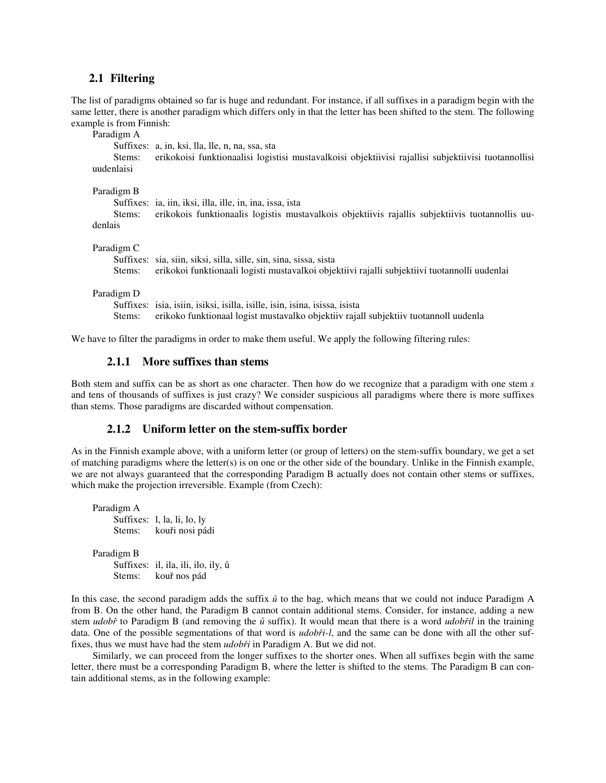### **2.1 Filtering**

The list of paradigms obtained so far is huge and redundant. For instance, if all suffixes in a paradigm begin with the same letter, there is another paradigm which differs only in that the letter has been shifted to the stem. The following example is from Finnish:

Paradigm A

Suffixes: a, in, ksi, lla, lle, n, na, ssa, sta

Stems: erikokoisi funktionaalisi logistisi mustavalkoisi objektiivisi rajallisi subjektiivisi tuotannollisi uudenlaisi

| Paradigm B<br>Stems:<br>denlais | Suffixes: ia, iin, iksi, illa, ille, in, ina, issa, ista<br>erikokois funktionaalis logistis mustavalkois objektiivis rajallis subjektiivis tuotannollis uu- |
|---------------------------------|--------------------------------------------------------------------------------------------------------------------------------------------------------------|
| Paradigm C                      | Suffixes: sia, siin, siksi, silla, sille, sin, sina, sissa, sista                                                                                            |

Stems: erikokoi funktionaali logisti mustavalkoi objektiivi rajalli subjektiivi tuotannolli uudenlai

Paradigm D

Suffixes: isia, isiin, isiksi, isilla, isille, isin, isina, isissa, isista Stems: erikoko funktionaal logist mustavalko objektiiv rajall subjektiiv tuotannoll uudenla

We have to filter the paradigms in order to make them useful. We apply the following filtering rules:

### **2.1.1 More suffixes than stems**

Both stem and suffix can be as short as one character. Then how do we recognize that a paradigm with one stem *s* and tens of thousands of suffixes is just crazy? We consider suspicious all paradigms where there is more suffixes than stems. Those paradigms are discarded without compensation.

### **2.1.2 Uniform letter on the stem-suffix border**

As in the Finnish example above, with a uniform letter (or group of letters) on the stem-suffix boundary, we get a set of matching paradigms where the letter(s) is on one or the other side of the boundary. Unlike in the Finnish example, we are not always guaranteed that the corresponding Paradigm B actually does not contain other stems or suffixes, which make the projection irreversible. Example (from Czech):

Paradigm A Suffixes: l, la, li, lo, ly Stems: kouři nosi pádi Paradigm B

Suffixes: il, ila, ili, ilo, ily, ů Stems: kouř nos pád

In this case, the second paradigm adds the suffix  $\hat{u}$  to the bag, which means that we could not induce Paradigm A from B. On the other hand, the Paradigm B cannot contain additional stems. Consider, for instance, adding a new stem *udobř* to Paradigm B (and removing the *ů* suffix). It would mean that there is a word *udobřil* in the training data. One of the possible segmentations of that word is *udobři-l*, and the same can be done with all the other suffixes, thus we must have had the stem *udobři* in Paradigm A. But we did not.

Similarly, we can proceed from the longer suffixes to the shorter ones. When all suffixes begin with the same letter, there must be a corresponding Paradigm B, where the letter is shifted to the stems. The Paradigm B can contain additional stems, as in the following example: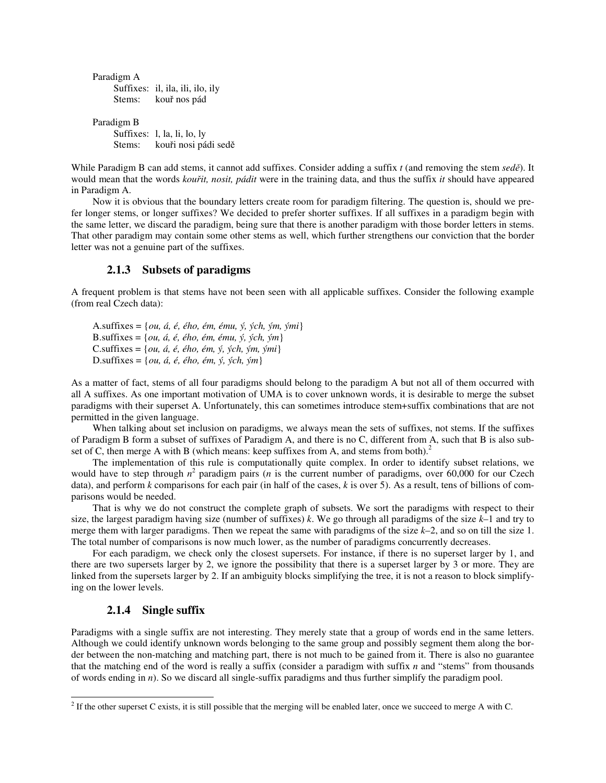Paradigm A Suffixes: il, ila, ili, ilo, ily Stems: kouř nos pád

Paradigm B Suffixes: l, la, li, lo, ly Stems: kouři nosi pádi sedě

While Paradigm B can add stems, it cannot add suffixes. Consider adding a suffix *t* (and removing the stem *sedě*). It would mean that the words *kouřit, nosit, pádit* were in the training data, and thus the suffix *it* should have appeared in Paradigm A.

Now it is obvious that the boundary letters create room for paradigm filtering. The question is, should we prefer longer stems, or longer suffixes? We decided to prefer shorter suffixes. If all suffixes in a paradigm begin with the same letter, we discard the paradigm, being sure that there is another paradigm with those border letters in stems. That other paradigm may contain some other stems as well, which further strengthens our conviction that the border letter was not a genuine part of the suffixes.

## **2.1.3 Subsets of paradigms**

A frequent problem is that stems have not been seen with all applicable suffixes. Consider the following example (from real Czech data):

A.suffixes = {*ou, á, é, ého, ém, ému, ý, ých, ým, ými*} B.suffixes = {*ou, á, é, ého, ém, ému, ý, ých, ým*} C.suffixes = {*ou, á, é, ého, ém, ý, ých, ým, ými*} D.suffixes = {*ou, á, é, ého, ém, ý, ých, ým*}

As a matter of fact, stems of all four paradigms should belong to the paradigm A but not all of them occurred with all A suffixes. As one important motivation of UMA is to cover unknown words, it is desirable to merge the subset paradigms with their superset A. Unfortunately, this can sometimes introduce stem+suffix combinations that are not permitted in the given language.

When talking about set inclusion on paradigms, we always mean the sets of suffixes, not stems. If the suffixes of Paradigm B form a subset of suffixes of Paradigm A, and there is no C, different from A, such that B is also subset of C, then merge A with B (which means: keep suffixes from A, and stems from both).<sup>2</sup>

The implementation of this rule is computationally quite complex. In order to identify subset relations, we would have to step through  $n^2$  paradigm pairs (*n* is the current number of paradigms, over 60,000 for our Czech data), and perform *k* comparisons for each pair (in half of the cases, *k* is over 5). As a result, tens of billions of comparisons would be needed.

That is why we do not construct the complete graph of subsets. We sort the paradigms with respect to their size, the largest paradigm having size (number of suffixes) *k*. We go through all paradigms of the size *k*–1 and try to merge them with larger paradigms. Then we repeat the same with paradigms of the size *k*–2, and so on till the size 1. The total number of comparisons is now much lower, as the number of paradigms concurrently decreases.

For each paradigm, we check only the closest supersets. For instance, if there is no superset larger by 1, and there are two supersets larger by 2, we ignore the possibility that there is a superset larger by 3 or more. They are linked from the supersets larger by 2. If an ambiguity blocks simplifying the tree, it is not a reason to block simplifying on the lower levels.

### **2.1.4 Single suffix**

Paradigms with a single suffix are not interesting. They merely state that a group of words end in the same letters. Although we could identify unknown words belonging to the same group and possibly segment them along the border between the non-matching and matching part, there is not much to be gained from it. There is also no guarantee that the matching end of the word is really a suffix (consider a paradigm with suffix *n* and "stems" from thousands of words ending in *n*). So we discard all single-suffix paradigms and thus further simplify the paradigm pool.

 $<sup>2</sup>$  If the other superset C exists, it is still possible that the merging will be enabled later, once we succeed to merge A with C.</sup>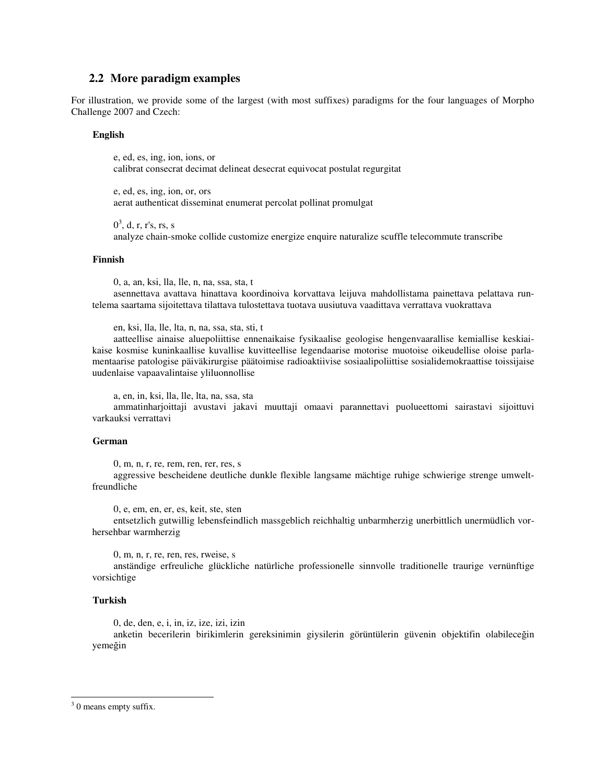### **2.2 More paradigm examples**

For illustration, we provide some of the largest (with most suffixes) paradigms for the four languages of Morpho Challenge 2007 and Czech:

#### **English**

e, ed, es, ing, ion, ions, or calibrat consecrat decimat delineat desecrat equivocat postulat regurgitat

e, ed, es, ing, ion, or, ors aerat authenticat disseminat enumerat percolat pollinat promulgat

0 3 , d, r, r's, rs, s analyze chain-smoke collide customize energize enquire naturalize scuffle telecommute transcribe

### **Finnish**

0, a, an, ksi, lla, lle, n, na, ssa, sta, t

asennettava avattava hinattava koordinoiva korvattava leijuva mahdollistama painettava pelattava runtelema saartama sijoitettava tilattava tulostettava tuotava uusiutuva vaadittava verrattava vuokrattava

en, ksi, lla, lle, lta, n, na, ssa, sta, sti, t

aatteellise ainaise aluepoliittise ennenaikaise fysikaalise geologise hengenvaarallise kemiallise keskiaikaise kosmise kuninkaallise kuvallise kuvitteellise legendaarise motorise muotoise oikeudellise oloise parlamentaarise patologise päiväkirurgise päätoimise radioaktiivise sosiaalipoliittise sosialidemokraattise toissijaise uudenlaise vapaavalintaise yliluonnollise

a, en, in, ksi, lla, lle, lta, na, ssa, sta

ammatinharjoittaji avustavi jakavi muuttaji omaavi parannettavi puolueettomi sairastavi sijoittuvi varkauksi verrattavi

### **German**

0, m, n, r, re, rem, ren, rer, res, s

aggressive bescheidene deutliche dunkle flexible langsame mächtige ruhige schwierige strenge umweltfreundliche

0, e, em, en, er, es, keit, ste, sten

entsetzlich gutwillig lebensfeindlich massgeblich reichhaltig unbarmherzig unerbittlich unermüdlich vorhersehbar warmherzig

0, m, n, r, re, ren, res, rweise, s

anständige erfreuliche glückliche natürliche professionelle sinnvolle traditionelle traurige vernünftige vorsichtige

### **Turkish**

0, de, den, e, i, in, iz, ize, izi, izin

anketin becerilerin birikimlerin gereksinimin giysilerin görüntülerin güvenin objektifin olabileceğin yemeğin

 $3$  0 means empty suffix.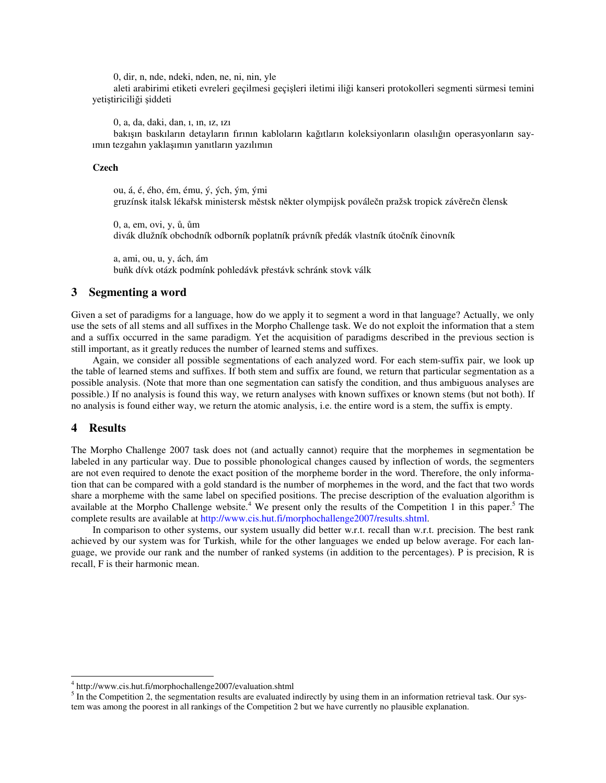0, dir, n, nde, ndeki, nden, ne, ni, nin, yle

aleti arabirimi etiketi evreleri geçilmesi geçileri iletimi ilii kanseri protokolleri segmenti sürmesi temini yetiştiriciliği şiddeti

0, a, da, daki, dan, ı, ın, ız, ızı

bakışın baskıların detayların fırının kabloların kağıtların koleksiyonların olasılığın operasyonların sayımın tezgahın yaklaşımın yanıtların yazılımın

#### **Czech**

ou, á, é, ého, ém, ému, ý, ých, ým, ými gruzínsk italsk lékařsk ministersk městsk někter olympijsk poválečn pražsk tropick závěrečn člensk

 $0, a, em, ovi, y,  $\hat{u}$ ,  $\hat{u}m$$ divák dlužník obchodník odborník poplatník právník předák vlastník útočník činovník

a, ami, ou, u, y, ách, ám buňk dívk otázk podmínk pohledávk přestávk schránk stovk válk

### **3 Segmenting a word**

Given a set of paradigms for a language, how do we apply it to segment a word in that language? Actually, we only use the sets of all stems and all suffixes in the Morpho Challenge task. We do not exploit the information that a stem and a suffix occurred in the same paradigm. Yet the acquisition of paradigms described in the previous section is still important, as it greatly reduces the number of learned stems and suffixes.

Again, we consider all possible segmentations of each analyzed word. For each stem-suffix pair, we look up the table of learned stems and suffixes. If both stem and suffix are found, we return that particular segmentation as a possible analysis. (Note that more than one segmentation can satisfy the condition, and thus ambiguous analyses are possible.) If no analysis is found this way, we return analyses with known suffixes or known stems (but not both). If no analysis is found either way, we return the atomic analysis, i.e. the entire word is a stem, the suffix is empty.

#### **4 Results**

The Morpho Challenge 2007 task does not (and actually cannot) require that the morphemes in segmentation be labeled in any particular way. Due to possible phonological changes caused by inflection of words, the segmenters are not even required to denote the exact position of the morpheme border in the word. Therefore, the only information that can be compared with a gold standard is the number of morphemes in the word, and the fact that two words share a morpheme with the same label on specified positions. The precise description of the evaluation algorithm is available at the Morpho Challenge website.<sup>4</sup> We present only the results of the Competition 1 in this paper.<sup>5</sup> The complete results are available at http://www.cis.hut.fi/morphochallenge2007/results.shtml.

In comparison to other systems, our system usually did better w.r.t. recall than w.r.t. precision. The best rank achieved by our system was for Turkish, while for the other languages we ended up below average. For each language, we provide our rank and the number of ranked systems (in addition to the percentages). P is precision, R is recall, F is their harmonic mean.

<sup>4</sup> http://www.cis.hut.fi/morphochallenge2007/evaluation.shtml

 $<sup>5</sup>$  In the Competition 2, the segmentation results are evaluated indirectly by using them in an information retrieval task. Our sys-</sup> tem was among the poorest in all rankings of the Competition 2 but we have currently no plausible explanation.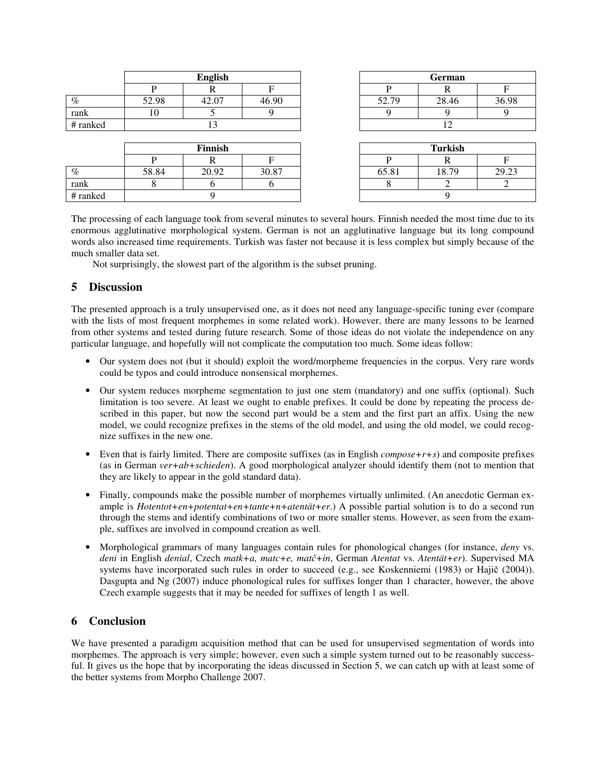|          | <b>English</b> |       |       | German |       |       |
|----------|----------------|-------|-------|--------|-------|-------|
|          |                |       |       |        |       |       |
| $\%$     | 52.98          | 42.07 | 46.90 | 52.79  | 28.46 | 36.98 |
| rank     |                |       |       |        |       |       |
| # ranked |                | ⊥ン    |       |        |       |       |

|          | <b>Finnish</b> |       |       | Turkish |       |       |
|----------|----------------|-------|-------|---------|-------|-------|
|          |                | ┄     |       |         |       |       |
| $\%$     | 58.84          | 20.92 | 30.87 | 65.81   | 18.79 | 29.23 |
| rank     |                |       |       |         |       |       |
| # ranked |                |       |       |         |       |       |

| English |      | German |       |       |
|---------|------|--------|-------|-------|
|         |      |        |       |       |
|         | ና ዕር | 2.79   | 28.46 | 36.98 |
|         |      |        |       |       |
|         |      |        |       |       |

| <b>Turkish</b> |       |       |  |  |
|----------------|-------|-------|--|--|
|                |       |       |  |  |
| 65.81          | 18.79 | 29.23 |  |  |
|                |       |       |  |  |
|                |       |       |  |  |

The processing of each language took from several minutes to several hours. Finnish needed the most time due to its enormous agglutinative morphological system. German is not an agglutinative language but its long compound words also increased time requirements. Turkish was faster not because it is less complex but simply because of the much smaller data set.

Not surprisingly, the slowest part of the algorithm is the subset pruning.

# **5 Discussion**

The presented approach is a truly unsupervised one, as it does not need any language-specific tuning ever (compare with the lists of most frequent morphemes in some related work). However, there are many lessons to be learned from other systems and tested during future research. Some of those ideas do not violate the independence on any particular language, and hopefully will not complicate the computation too much. Some ideas follow:

- Our system does not (but it should) exploit the word/morpheme frequencies in the corpus. Very rare words could be typos and could introduce nonsensical morphemes.
- Our system reduces morpheme segmentation to just one stem (mandatory) and one suffix (optional). Such limitation is too severe. At least we ought to enable prefixes. It could be done by repeating the process described in this paper, but now the second part would be a stem and the first part an affix. Using the new model, we could recognize prefixes in the stems of the old model, and using the old model, we could recognize suffixes in the new one.
- Even that is fairly limited. There are composite suffixes (as in English *compose+r+s*) and composite prefixes (as in German *ver+ab+schieden*). A good morphological analyzer should identify them (not to mention that they are likely to appear in the gold standard data).
- Finally, compounds make the possible number of morphemes virtually unlimited. (An anecdotic German example is *Hotentot+en+potentat+en+tante+n+atentät+er*.) A possible partial solution is to do a second run through the stems and identify combinations of two or more smaller stems. However, as seen from the example, suffixes are involved in compound creation as well.
- Morphological grammars of many languages contain rules for phonological changes (for instance, *deny* vs. *deni* in English *denial*, Czech *matk+a, matc+e, mat+in*, German *Atentat* vs. *Atentät+er*). Supervised MA systems have incorporated such rules in order to succeed (e.g., see Koskenniemi (1983) or Hajič (2004)). Dasgupta and Ng (2007) induce phonological rules for suffixes longer than 1 character, however, the above Czech example suggests that it may be needed for suffixes of length 1 as well.

# **6 Conclusion**

We have presented a paradigm acquisition method that can be used for unsupervised segmentation of words into morphemes. The approach is very simple; however, even such a simple system turned out to be reasonably successful. It gives us the hope that by incorporating the ideas discussed in Section 5, we can catch up with at least some of the better systems from Morpho Challenge 2007.